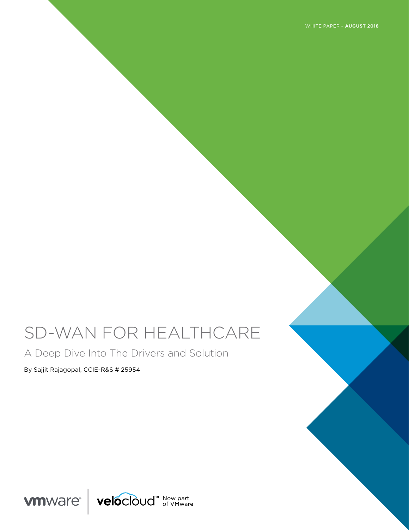WHITE PAPER – **AUGUST 2018**

# SD-WAN FOR HEALTHCARE

A Deep Dive Into The Drivers and Solution

By Sajjit Rajagopal, CCIE-R&S # 25954

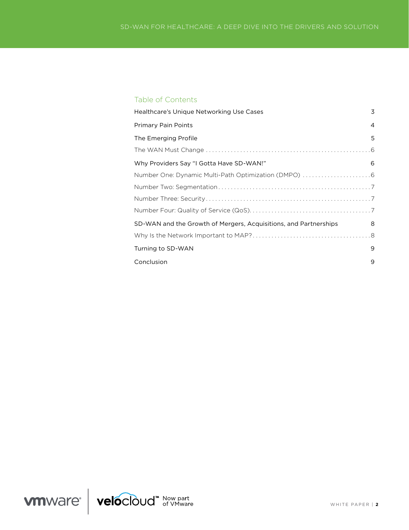# Table of Contents

| Healthcare's Unique Networking Use Cases                         | 3              |
|------------------------------------------------------------------|----------------|
| <b>Primary Pain Points</b>                                       | $\overline{4}$ |
| The Emerging Profile                                             | 5              |
|                                                                  |                |
| Why Providers Say "I Gotta Have SD-WAN!"                         | 6              |
|                                                                  |                |
|                                                                  |                |
|                                                                  |                |
|                                                                  |                |
| SD-WAN and the Growth of Mergers, Acquisitions, and Partnerships | 8              |
|                                                                  |                |
| Turning to SD-WAN                                                | 9              |
| Conclusion                                                       | 9              |

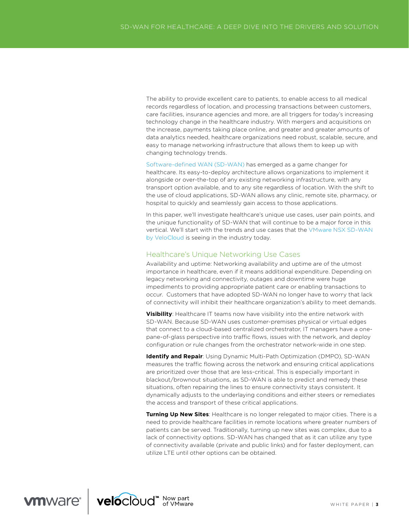The ability to provide excellent care to patients, to enable access to all medical records regardless of location, and processing transactions between customers, care facilities, insurance agencies and more, are all triggers for today's increasing technology change in the healthcare industry. With mergers and acquisitions on the increase, payments taking place online, and greater and greater amounts of data analytics needed, healthcare organizations need robust, scalable, secure, and easy to manage networking infrastructure that allows them to keep up with changing technology trends.

[Software-defined WAN \(SD-WAN\)](https://www.vmware.com/solutions/sd-wan.html) has emerged as a game changer for healthcare. Its easy-to-deploy architecture allows organizations to implement it alongside or over-the-top of any existing networking infrastructure, with any transport option available, and to any site regardless of location. With the shift to the use of cloud applications, SD-WAN allows any clinic, remote site, pharmacy, or hospital to quickly and seamlessly gain access to those applications.

In this paper, we'll investigate healthcare's unique use cases, user pain points, and the unique functionality of SD-WAN that will continue to be a major force in this vertical. We'll start with the trends and use cases that the [VMware NSX SD-WAN](https://www.vmware.com/products/nsx-sd-wan-by-velocloud.html)  [by VeloCloud](https://www.vmware.com/products/nsx-sd-wan-by-velocloud.html) is seeing in the industry today.

## Healthcare's Unique Networking Use Cases

Availability and uptime: Networking availability and uptime are of the utmost importance in healthcare, even if it means additional expenditure. Depending on legacy networking and connectivity, outages and downtime were huge impediments to providing appropriate patient care or enabling transactions to occur. Customers that have adopted SD-WAN no longer have to worry that lack of connectivity will inhibit their healthcare organization's ability to meet demands.

**Visibility**: Healthcare IT teams now have visibility into the entire network with SD-WAN. Because SD-WAN uses customer-premises physical or virtual edges that connect to a cloud-based centralized orchestrator, IT managers have a onepane-of-glass perspective into traffic flows, issues with the network, and deploy configuration or rule changes from the orchestrator network-wide in one step.

**Identify and Repair**: Using Dynamic Multi-Path Optimization (DMPO), SD-WAN measures the traffic flowing across the network and ensuring critical applications are prioritized over those that are less-critical. This is especially important in blackout/brownout situations, as SD-WAN is able to predict and remedy these situations, often repairing the lines to ensure connectivity stays consistent. It dynamically adjusts to the underlaying conditions and either steers or remediates the access and transport of these critical applications.

**Turning Up New Sites**: Healthcare is no longer relegated to major cities. There is a need to provide healthcare facilities in remote locations where greater numbers of patients can be served. Traditionally, turning up new sites was complex, due to a lack of connectivity options. SD-WAN has changed that as it can utilize any type of connectivity available (private and public links) and for faster deployment, can utilize LTE until other options can be obtained.

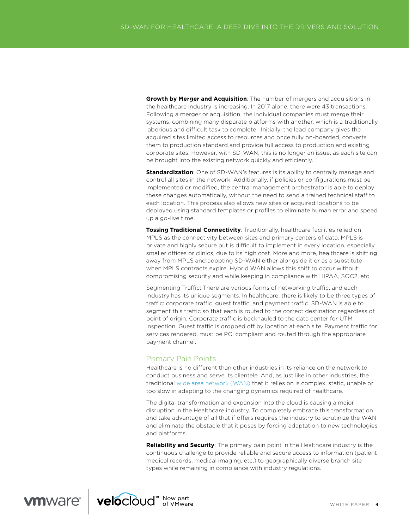**Growth by Merger and Acquisition**: The number of mergers and acquisitions in the healthcare industry is increasing. In 2017 alone, there were 43 transactions. Following a merger or acquisition, the individual companies must merge their systems, combining many disparate platforms with another, which is a traditionally laborious and difficult task to complete. Initially, the lead company gives the acquired sites limited access to resources and once fully on-boarded, converts them to production standard and provide full access to production and existing corporate sites. However, with SD-WAN, this is no longer an issue, as each site can be brought into the existing network quickly and efficiently.

**Standardization**: One of SD-WAN's features is its ability to centrally manage and control all sites in the network. Additionally, if policies or configurations must be implemented or modified, the central management orchestrator is able to deploy these changes automatically, without the need to send a trained technical staff to each location. This process also allows new sites or acquired locations to be deployed using standard templates or profiles to eliminate human error and speed up a go-live time.

**Tossing Traditional Connectivity**: Traditionally, healthcare facilities relied on MPLS as the connectivity between sites and primary centers of data. MPLS is private and highly secure but is difficult to implement in every location, especially smaller offices or clinics, due to its high cost. More and more, healthcare is shifting away from MPLS and adopting SD-WAN either alongside it or as a substitute when MPLS contracts expire. Hybrid WAN allows this shift to occur without compromising security and while keeping in compliance with HIPAA, SOC2, etc.

Segmenting Traffic: There are various forms of networking traffic, and each industry has its unique segments. In healthcare, there is likely to be three types of traffic: corporate traffic, quest traffic, and payment traffic. SD-WAN is able to segment this traffic so that each is routed to the correct destination regardless of point of origin. Corporate traffic is backhauled to the data center for UTM inspection. Guest traffic is dropped off by location at each site. Payment traffic for services rendered, must be PCI compliant and routed through the appropriate payment channel.

# Primary Pain Points

Healthcare is no diferent than other industries in its reliance on the network to conduct business and serve its clientele. And, as just like in other industries, the traditional [wide area network \(WAN\)](https://www.vmware.com/solutions/sd-wan-traditional-wan.html) that it relies on is complex, static, unable or too slow in adapting to the changing dynamics required of healthcare.

The digital transformation and expansion into the cloud is causing a major disruption in the Healthcare industry. To completely embrace this transformation and take advantage of all that if offers requires the industry to scrutinize the WAN and eliminate the obstacle that it poses by forcing adaptation to new technologies and platforms.

**Reliability and Security**: The primary pain point in the Healthcare industry is the continuous challenge to provide reliable and secure access to information (patient medical records, medical imaging, etc.) to geographically diverse branch site types while remaining in compliance with industry regulations.

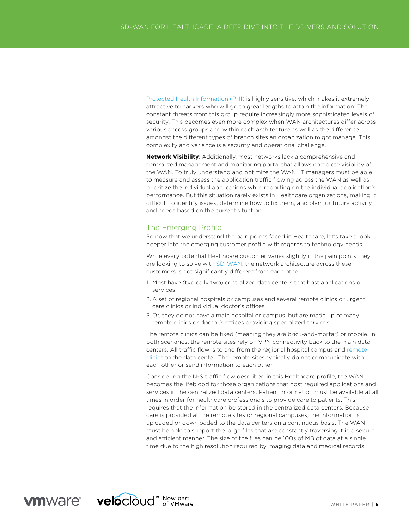[Protected Health Information \(PHI\)](https://www.hhs.gov/answers/hipaa/what-is-phi/index.html) is highly sensitive, which makes it extremely attractive to hackers who will go to great lengths to attain the information. The constant threats from this group require increasingly more sophisticated levels of security. This becomes even more complex when WAN architectures difer across various access groups and within each architecture as well as the diference amongst the diferent types of branch sites an organization might manage. This complexity and variance is a security and operational challenge.

**Network Visibility**: Additionally, most networks lack a comprehensive and centralized management and monitoring portal that allows complete visibility of the WAN. To truly understand and optimize the WAN, IT managers must be able to measure and assess the application traffic flowing across the WAN as well as prioritize the individual applications while reporting on the individual application's performance. But this situation rarely exists in Healthcare organizations, making it difficult to identify issues, determine how to fix them, and plan for future activity and needs based on the current situation.

# The Emerging Profile

So now that we understand the pain points faced in Healthcare, let's take a look deeper into the emerging customer profile with regards to technology needs.

While every potential Healthcare customer varies slightly in the pain points they are looking to solve with [SD-WAN,](https://www.vmware.com/solutions/sd-wan.html) the network architecture across these customers is not significantly diferent from each other.

- 1. Most have (typically two) centralized data centers that host applications or services.
- 2. A set of regional hospitals or campuses and several remote clinics or urgent care clinics or individual doctor's offices.
- 3. Or, they do not have a main hospital or campus, but are made up of many remote clinics or doctor's offices providing specialized services.

The remote clinics can be fixed (meaning they are brick-and-mortar) or mobile. In both scenarios, the remote sites rely on VPN connectivity back to the main data centers. All traffic flow is to and from the regional hospital campus and remote [clinics](https://www.vmware.com/solutions/sd-wan/branch-office.html) to the data center. The remote sites typically do not communicate with each other or send information to each other.

Considering the N-S traffic flow described in this Healthcare profile, the WAN becomes the lifeblood for those organizations that host required applications and services in the centralized data centers. Patient information must be available at all times in order for healthcare professionals to provide care to patients. This requires that the information be stored in the centralized data centers. Because care is provided at the remote sites or regional campuses, the information is uploaded or downloaded to the data centers on a continuous basis. The WAN must be able to support the large files that are constantly traversing it in a secure and efficient manner. The size of the files can be 100s of MB of data at a single time due to the high resolution required by imaging data and medical records.

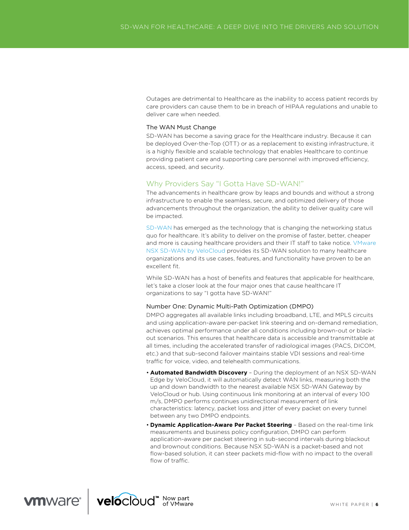Outages are detrimental to Healthcare as the inability to access patient records by care providers can cause them to be in breach of HIPAA regulations and unable to deliver care when needed.

#### The WAN Must Change

SD-WAN has become a saving grace for the Healthcare industry. Because it can be deployed Over-the-Top (OTT) or as a replacement to existing infrastructure, it is a highly flexible and scalable technology that enables Healthcare to continue providing patient care and supporting care personnel with improved efficiency, access, speed, and security.

# Why Providers Say "I Gotta Have SD-WAN!"

The advancements in healthcare grow by leaps and bounds and without a strong infrastructure to enable the seamless, secure, and optimized delivery of those advancements throughout the organization, the ability to deliver quality care will be impacted.

[SD-WAN](https://www.vmware.com/solutions/sd-wan.html) has emerged as the technology that is changing the networking status quo for healthcare. It's ability to deliver on the promise of faster, better, cheaper and more is causing healthcare providers and their IT staff to take notice. VMware [NSX SD-WAN by VeloCloud](https://www.vmware.com/products/nsx-sd-wan-by-velocloud.html) provides its SD-WAN solution to many healthcare organizations and its use cases, features, and functionality have proven to be an excellent fit.

While SD-WAN has a host of benefits and features that applicable for healthcare, let's take a closer look at the four major ones that cause healthcare IT organizations to say "I gotta have SD-WAN!"

#### Number One: Dynamic Multi-Path Optimization (DMPO)

DMPO aggregates all available links including broadband, LTE, and MPLS circuits and using application-aware per-packet link steering and on-demand remediation, achieves optimal performance under all conditions including brown-out or blackout scenarios. This ensures that healthcare data is accessible and transmittable at all times, including the accelerated transfer of radiological images (PACS, DICOM, etc.) and that sub-second failover maintains stable VDI sessions and real-time traffic for voice, video, and telehealth communications.

- **Automated Bandwidth Discovery** During the deployment of an NSX SD-WAN Edge by VeloCloud, it will automatically detect WAN links, measuring both the up and down bandwidth to the nearest available NSX SD-WAN Gateway by VeloCloud or hub. Using continuous link monitoring at an interval of every 100 m/s, DMPO performs continues unidirectional measurement of link characteristics: latency, packet loss and jitter of every packet on every tunnel between any two DMPO endpoints.
- **Dynamic Application-Aware Per Packet Steering** Based on the real-time link measurements and business policy configuration, DMPO can perform application-aware per packet steering in sub-second intervals during blackout and brownout conditions. Because NSX SD-WAN is a packet-based and not flow-based solution, it can steer packets mid-flow with no impact to the overall flow of traffic.

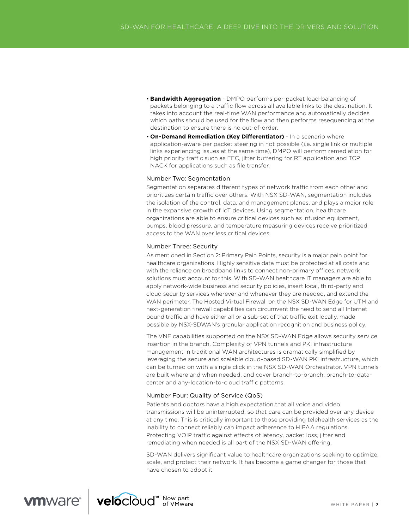- **Bandwidth Aggregation** DMPO performs per-packet load-balancing of packets belonging to a traffic flow across all available links to the destination. It takes into account the real-time WAN performance and automatically decides which paths should be used for the flow and then performs resequencing at the destination to ensure there is no out-of-order.
- **On-Demand Remediation (Key Diferentiator)** In a scenario where application-aware per packet steering in not possible (i.e. single link or multiple links experiencing issues at the same time), DMPO will perform remediation for high priority traffic such as FEC, jitter buffering for RT application and TCP NACK for applications such as file transfer.

## Number Two: Segmentation

Segmentation separates different types of network traffic from each other and prioritizes certain traffic over others. With NSX SD-WAN, segmentation includes the isolation of the control, data, and management planes, and plays a major role in the expansive growth of IoT devices. Using segmentation, healthcare organizations are able to ensure critical devices such as infusion equipment, pumps, blood pressure, and temperature measuring devices receive prioritized access to the WAN over less critical devices.

#### Number Three: Security

As mentioned in Section 2: Primary Pain Points, security is a major pain point for healthcare organizations. Highly sensitive data must be protected at all costs and with the reliance on broadband links to connect non-primary offices, network solutions must account for this. With SD-WAN healthcare IT managers are able to apply network-wide business and security policies, insert local, third-party and cloud security services wherever and whenever they are needed, and extend the WAN perimeter. The Hosted Virtual Firewall on the NSX SD-WAN Edge for UTM and next-generation firewall capabilities can circumvent the need to send all Internet bound traffic and have either all or a sub-set of that traffic exit locally, made possible by NSX-SDWAN's granular application recognition and business policy.

The VNF capabilities supported on the NSX SD-WAN Edge allows security service insertion in the branch. Complexity of VPN tunnels and PKI infrastructure management in traditional WAN architectures is dramatically simplified by leveraging the secure and scalable cloud-based SD-WAN PKI infrastructure, which can be turned on with a single click in the NSX SD-WAN Orchestrator. VPN tunnels are built where and when needed, and cover branch-to-branch, branch-to-datacenter and any-location-to-cloud traffic patterns.

## Number Four: Quality of Service (QoS)

Patients and doctors have a high expectation that all voice and video transmissions will be uninterrupted, so that care can be provided over any device at any time. This is critically important to those providing telehealth services as the inability to connect reliably can impact adherence to HIPAA regulations. Protecting VOIP traffic against effects of latency, packet loss, jitter and remediating when needed is all part of the NSX SD-WAN offering.

SD-WAN delivers significant value to healthcare organizations seeking to optimize, scale, and protect their network. It has become a game changer for those that have chosen to adopt it.

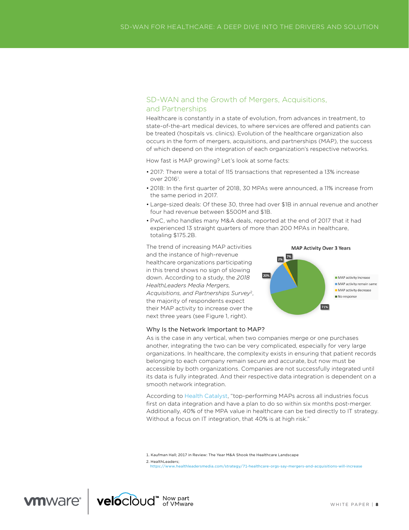# SD-WAN and the Growth of Mergers, Acquisitions, and Partnerships

Healthcare is constantly in a state of evolution, from advances in treatment, to state-of-the-art medical devices, to where services are ofered and patients can be treated (hospitals vs. clinics). Evolution of the healthcare organization also occurs in the form of mergers, acquisitions, and partnerships (MAP), the success of which depend on the integration of each organization's respective networks.

How fast is MAP growing? Let's look at some facts:

- 2017: There were a total of 115 transactions that represented a 13% increase over 2016<sup>1</sup>.
- 2018: In the first quarter of 2018, 30 MPAs were announced, a 11% increase from the same period in 2017.
- Large-sized deals: Of these 30, three had over \$1B in annual revenue and another four had revenue between \$500M and \$1B.

20%

 $\begin{array}{|c|c|}\n\hline\n2\% & 7\% \\
\hline\n\end{array}$ 

**MAP Activity Over 3 Years** 

71%

MAP activity increase MAP activity remain same MAP activity decrease No response

• PwC, who handles many M&A deals, reported at the end of 2017 that it had experienced 13 straight quarters of more than 200 MPAs in healthcare, totaling \$175.2B.

The trend of increasing MAP activities and the instance of high-revenue healthcare organizations participating in this trend shows no sign of slowing down. According to a study, the *2018 HealthLeaders Media Mergers, Acquisitions, and Partnerships Survey*2, the majority of respondents expect their MAP activity to increase over the next three years (see Figure 1, right).

#### Why Is the Network Important to MAP?

As is the case in any vertical, when two companies merge or one purchases another, integrating the two can be very complicated, especially for very large organizations. In healthcare, the complexity exists in ensuring that patient records belonging to each company remain secure and accurate, but now must be accessible by both organizations. Companies are not successfully integrated until its data is fully integrated. And their respective data integration is dependent on a smooth network integration.

According to [Health Catalyst,](https://www.healthcatalyst.com/insights/healthcare-mergers-and-acquisitions-key-to-success) "top-performing MAPs across all industries focus first on data integration and have a plan to do so within six months post-merger. Additionally, 40% of the MPA value in healthcare can be tied directly to IT strategy. Without a focus on IT integration, that 40% is at high risk."

1. Kaufman Hall; 2017 in Review: The Year M&A Shook the Healthcare Landscape

2. HealthLeaders;

https://www.healthleadersmedia.com/strategy/71[-healthcare-orgs-say-mergers-and-acquisitions-will-increase](https://www.healthleadersmedia.com/strategy/71-healthcare-orgs-say-mergers-and-acquisitions-will-increase)

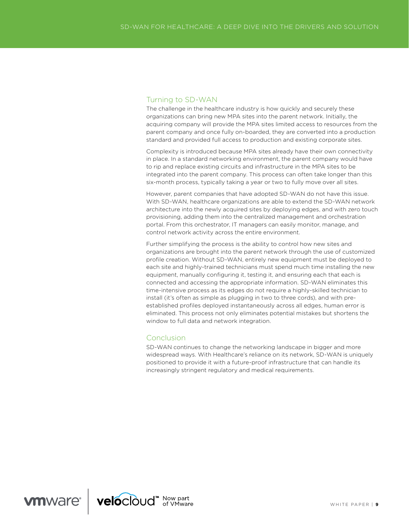# Turning to SD-WAN

The challenge in the healthcare industry is how quickly and securely these organizations can bring new MPA sites into the parent network. Initially, the acquiring company will provide the MPA sites limited access to resources from the parent company and once fully on-boarded, they are converted into a production standard and provided full access to production and existing corporate sites.

Complexity is introduced because MPA sites already have their own connectivity in place. In a standard networking environment, the parent company would have to rip and replace existing circuits and infrastructure in the MPA sites to be integrated into the parent company. This process can often take longer than this six-month process, typically taking a year or two to fully move over all sites.

However, parent companies that have adopted SD-WAN do not have this issue. With SD-WAN, healthcare organizations are able to extend the SD-WAN network architecture into the newly acquired sites by deploying edges, and with zero touch provisioning, adding them into the centralized management and orchestration portal. From this orchestrator, IT managers can easily monitor, manage, and control network activity across the entire environment.

Further simplifying the process is the ability to control how new sites and organizations are brought into the parent network through the use of customized profile creation. Without SD-WAN, entirely new equipment must be deployed to each site and highly-trained technicians must spend much time installing the new equipment, manually configuring it, testing it, and ensuring each that each is connected and accessing the appropriate information. SD-WAN eliminates this time-intensive process as its edges do not require a highly-skilled technician to install (it's often as simple as plugging in two to three cords), and with preestablished profiles deployed instantaneously across all edges, human error is eliminated. This process not only eliminates potential mistakes but shortens the window to full data and network integration.

# Conclusion

SD-WAN continues to change the networking landscape in bigger and more widespread ways. With Healthcare's reliance on its network, SD-WAN is uniquely positioned to provide it with a future-proof infrastructure that can handle its increasingly stringent regulatory and medical requirements.